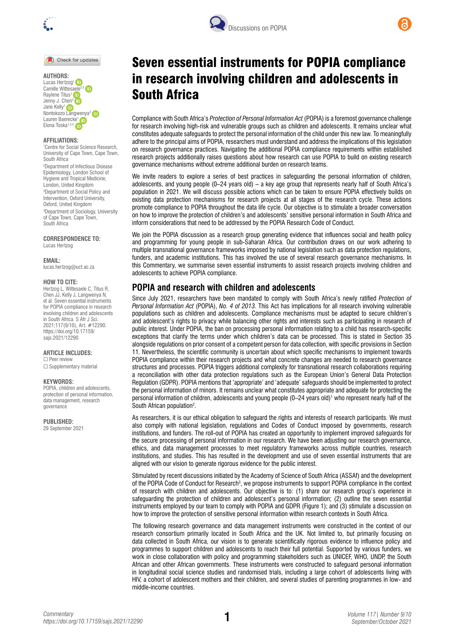

Check for updates

**AUTHORS:** Lucas Hertzog<sup>1</sup> Camille Wittesaele<sup>2,3</sup> Raylene Titus<sup>1</sup> Jenny J. Chen<sup>3</sup> in Jane Kelly1 Nontokozo [Lang](https://orcid.org/0000-0002-1216-6273)wenya[3](https://orcid.org/0000-0001-7883-621X)  Lauren Baerec[ke](https://orcid.org/0000-0002-3800-3173)<sup>1</sup> Elona Toska<sup>1,3,4</sup>

#### **AFFILIATIONS:**

1 Centre for Social Science Research, University of Cape Town, Cape Town, South Africa

2 Department of Infectious Disease Epidemiology, London School of Hygiene and Tropical Medicine, London, United Kingdom 3 Department of Social Policy and Intervention, Oxford University, Oxford, United Kingdom 4 Department of Sociology, University of Cape Town, Cape Town, South Africa

## **CORRESPONDENCE TO:**

Lucas Hertzog

**EMAIL:** 

[lucas.hertzog@uct.ac.za](mailto:lucas.hertzog@uct.ac.za)

#### **HOW TO CITE:**

Hertzog L, Wittesaele C, Titus R, Chen JJ, Kelly J, Langwenya N, et al. Seven essential instruments for POPIA compliance in research involving children and adolescents in South Africa. S Afr J Sci. 2021;117(9/10), Art. #12290. [https://doi.org/10.17159/](https://doi.org/10.17159/sajs.2021/12290) [sajs.2021/12290](https://doi.org/10.17159/sajs.2021/12290)

#### **ARTICLE INCLUDES:**

□ Peer review □ Supplementary material

#### **KEYWORDS:**

POPIA, children and adolescents, protection of personal information, data management, research governance

**PUBLISHED:** 

29 September 2021





Compliance with South Africa's *Protection of Personal Information Act* (POPIA) is a foremost governance challenge for research involving high-risk and vulnerable groups such as children and adolescents. It remains unclear what constitutes adequate safeguards to protect the personal information of the child under this new law. To meaningfully adhere to the principal aims of POPIA, researchers must understand and address the implications of this legislation on research governance practices. Navigating the additional POPIA compliance requirements within established research projects additionally raises questions about how research can use POPIA to build on existing research governance mechanisms without extreme additional burden on research teams.

We invite readers to explore a series of best practices in safeguarding the personal information of children, adolescents, and young people (0–24 years old) – a key age group that represents nearly half of South Africa's population in 2021. We will discuss possible actions which can be taken to ensure POPIA effectively builds on existing data protection mechanisms for research projects at all stages of the research cycle. These actions promote compliance to POPIA throughout the data life cycle. Our objective is to stimulate a broader conversation on how to improve the protection of children's and adolescents' sensitive personal information in South Africa and inform considerations that need to be addressed by the POPIA Research Code of Conduct.

We join the POPIA discussion as a research group generating evidence that influences social and health policy and programming for young people in sub-Saharan Africa. Our contribution draws on our work adhering to multiple transnational governance frameworks imposed by national legislation such as data protection regulations, funders, and academic institutions. This has involved the use of several research governance mechanisms. In this Commentary, we summarise seven essential instruments to assist research projects involving children and adolescents to achieve POPIA compliance.

# **POPIA and research with children and adolescents**

Since July 2021, researchers have been mandated to comply with South Africa's newly ratified *Protection of Personal Information Act* (POPIA), *No. 4 of 2013.* This Act has implications for all research involving vulnerable populations such as children and adolescents. Compliance mechanisms must be adapted to secure children's and adolescent's rights to privacy while balancing other rights and interests such as participating in research of public interest. Under POPIA, the ban on processing personal information relating to a child has research-specific exceptions that clarify the terms under which children's data can be processed. This is stated in Section 35 alongside regulations on prior consent of a competent person for data collection, with specific provisions in Section 11. Nevertheless, the scientific community is uncertain about which specific mechanisms to implement towards POPIA compliance within their research projects and what concrete changes are needed to research governance structures and processes. POPIA triggers additional complexity for transnational research collaborations requiring a reconciliation with other data protection regulations such as the European Union's General Data Protection Regulation (GDPR). POPIA mentions that 'appropriate' and 'adequate' safeguards should be implemented to protect the personal information of minors. It remains unclear what constitutes appropriate and adequate for protecting the personal information of children, adolescents and young people (0–24 years old)1 who represent nearly half of the South African population<sup>2</sup>.

As researchers, it is our ethical obligation to safeguard the rights and interests of research participants. We must also comply with national legislation, regulations and Codes of Conduct imposed by governments, research institutions, and funders. The roll-out of POPIA has created an opportunity to implement improved safeguards for the secure processing of personal information in our research. We have been adjusting our research governance, ethics, and data management processes to meet regulatory frameworks across multiple countries, research institutions, and studies. This has resulted in the development and use of seven essential instruments that are aligned with our vision to generate rigorous evidence for the public interest.

Stimulated by recent discussions initiated by the Academy of Science of South Africa (ASSAf) and the development of the POPIA Code of Conduct for Research<sup>3</sup>, we propose instruments to support POPIA compliance in the context of research with children and adolescents. Our objective is to: (1) share our research group's experience in safeguarding the protection of children and adolescent's personal information; (2) outline the seven essential instruments employed by our team to comply with POPIA and GDPR (Figure 1); and (3) stimulate a discussion on how to improve the protection of sensitive personal information within research contexts in South Africa.

The following research governance and data management instruments were constructed in the context of our research consortium primarily located in South Africa and the UK. Not limited to, but primarily focusing on data collected in South Africa, our vision is to generate scientifically rigorous evidence to influence policy and programmes to support children and adolescents to reach their full potential. Supported by various funders, we work in close collaboration with policy and programming stakeholders such as UNICEF, WHO, UNDP, the South African and other African governments. These instruments were constructed to safeguard personal information in longitudinal social science studies and randomised trials, including a large cohort of adolescents living with HIV, a cohort of adolescent mothers and their children, and several studies of parenting programmes in low- and middle-income countries.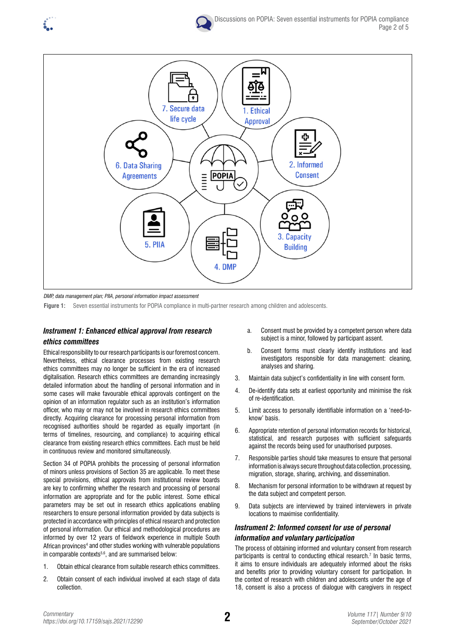



*DMP, data management plan; PIIA, personal information impact assessment*

**Figure 1:** Seven essential instruments for POPIA compliance in multi-partner research among children and adolescents.

# *Instrument 1: Enhanced ethical approval from research ethics committees*

Ethical responsibility to our research participants is our foremost concern. Nevertheless, ethical clearance processes from existing research ethics committees may no longer be sufficient in the era of increased digitalisation. Research ethics committees are demanding increasingly detailed information about the handling of personal information and in some cases will make favourable ethical approvals contingent on the opinion of an information regulator such as an institution's information officer, who may or may not be involved in research ethics committees directly. Acquiring clearance for processing personal information from recognised authorities should be regarded as equally important (in terms of timelines, resourcing, and compliance) to acquiring ethical clearance from existing research ethics committees. Each must be held in continuous review and monitored simultaneously.

Section 34 of POPIA prohibits the processing of personal information of minors unless provisions of Section 35 are applicable. To meet these special provisions, ethical approvals from institutional review boards are key to confirming whether the research and processing of personal information are appropriate and for the public interest. Some ethical parameters may be set out in research ethics applications enabling researchers to ensure personal information provided by data subjects is protected in accordance with principles of ethical research and protection of personal information. Our ethical and methodological procedures are informed by over 12 years of fieldwork experience in multiple South African provinces<sup>4</sup> and other studies working with vulnerable populations in comparable contexts<sup>5,6</sup>, and are summarised below:

- 1. Obtain ethical clearance from suitable research ethics committees.
- 2. Obtain consent of each individual involved at each stage of data collection.
- a. Consent must be provided by a competent person where data subject is a minor, followed by participant assent.
- b. Consent forms must clearly identify institutions and lead investigators responsible for data management: cleaning, analyses and sharing.
- 3. Maintain data subject's confidentiality in line with consent form.
- 4. De-identify data sets at earliest opportunity and minimise the risk of re-identification.
- 5. Limit access to personally identifiable information on a 'need-toknow' basis.
- 6. Appropriate retention of personal information records for historical, statistical, and research purposes with sufficient safeguards against the records being used for unauthorised purposes.
- 7. Responsible parties should take measures to ensure that personal information is always secure throughout data collection, processing, migration, storage, sharing, archiving, and dissemination.
- 8. Mechanism for personal information to be withdrawn at request by the data subject and competent person.
- 9. Data subjects are interviewed by trained interviewers in private locations to maximise confidentiality.

# *Instrument 2: Informed consent for use of personal information and voluntary participation*

The process of obtaining informed and voluntary consent from research participants is central to conducting ethical research.<sup>7</sup> In basic terms, it aims to ensure individuals are adequately informed about the risks and benefits prior to providing voluntary consent for participation. In the context of research with children and adolescents under the age of 18, consent is also a process of dialogue with caregivers in respect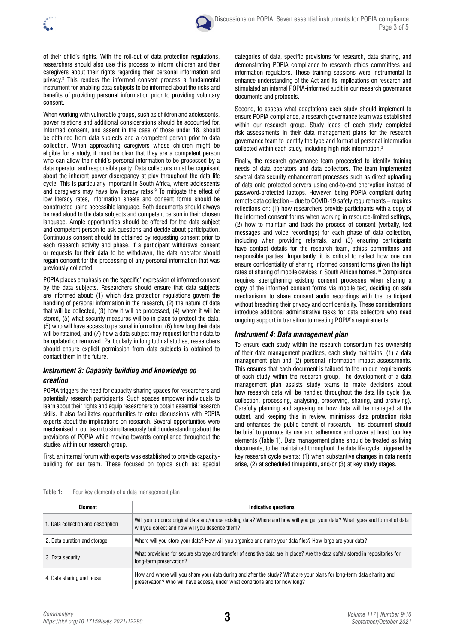



of their child's rights. With the roll-out of data protection regulations, researchers should also use this process to inform children and their caregivers about their rights regarding their personal information and privacy.8 This renders the informed consent process a fundamental instrument for enabling data subjects to be informed about the risks and benefits of providing personal information prior to providing voluntary consent.

When working with vulnerable groups, such as children and adolescents, power relations and additional considerations should be accounted for. Informed consent, and assent in the case of those under 18, should be obtained from data subjects and a competent person prior to data collection. When approaching caregivers whose children might be eligible for a study, it must be clear that they are a competent person who can allow their child's personal information to be processed by a data operator and responsible party. Data collectors must be cognisant about the inherent power discrepancy at play throughout the data life cycle. This is particularly important in South Africa, where adolescents and caregivers may have low literacy rates.<sup>9</sup> To mitigate the effect of low literacy rates, information sheets and consent forms should be constructed using accessible language. Both documents should always be read aloud to the data subjects and competent person in their chosen language. Ample opportunities should be offered for the data subject and competent person to ask questions and decide about participation. Continuous consent should be obtained by requesting consent prior to each research activity and phase. If a participant withdraws consent or requests for their data to be withdrawn, the data operator should regain consent for the processing of any personal information that was previously collected.

POPIA places emphasis on the 'specific' expression of informed consent by the data subjects. Researchers should ensure that data subjects are informed about: (1) which data protection regulations govern the handling of personal information in the research, (2) the nature of data that will be collected, (3) how it will be processed, (4) where it will be stored, (5) what security measures will be in place to protect the data, (5) who will have access to personal information, (6) how long their data will be retained, and (7) how a data subject may request for their data to be updated or removed. Particularly in longitudinal studies, researchers should ensure explicit permission from data subjects is obtained to contact them in the future.

## *Instrument 3: Capacity building and knowledge cocreation*

POPIA triggers the need for capacity sharing spaces for researchers and potentially research participants. Such spaces empower individuals to learn about their rights and equip researchers to obtain essential research skills. It also facilitates opportunities to enter discussions with POPIA experts about the implications on research. Several opportunities were mechanised in our team to simultaneously build understanding about the provisions of POPIA while moving towards compliance throughout the studies within our research group.

First, an internal forum with experts was established to provide capacitybuilding for our team. These focused on topics such as: special categories of data, specific provisions for research, data sharing, and demonstrating POPIA compliance to research ethics committees and information regulators. These training sessions were instrumental to enhance understanding of the Act and its implications on research and stimulated an internal POPIA-informed audit in our research governance documents and protocols.

Second, to assess what adaptations each study should implement to ensure POPIA compliance, a research governance team was established within our research group. Study leads of each study completed risk assessments in their data management plans for the research governance team to identify the type and format of personal information collected within each study, including high-risk information.3

Finally, the research governance team proceeded to identify training needs of data operators and data collectors. The team implemented several data security enhancement processes such as direct uploading of data onto protected servers using end-to-end encryption instead of password-protected laptops. However, being POPIA compliant during remote data collection – due to COVID-19 safety requirements – requires reflections on: (1) how researchers provide participants with a copy of the informed consent forms when working in resource-limited settings, (2) how to maintain and track the process of consent (verbally, text messages and voice recordings) for each phase of data collection, including when providing referrals, and (3) ensuring participants have contact details for the research team, ethics committees and responsible parties. Importantly, it is critical to reflect how one can ensure confidentiality of sharing informed consent forms given the high rates of sharing of mobile devices in South African homes.10 Compliance requires strengthening existing consent processes when sharing a copy of the informed consent forms via mobile text, deciding on safe mechanisms to share consent audio recordings with the participant without breaching their privacy and confidentiality. These considerations introduce additional administrative tasks for data collectors who need ongoing support in transition to meeting POPIA's requirements.

## *Instrument 4: Data management plan*

To ensure each study within the research consortium has ownership of their data management practices, each study maintains: (1) a data management plan and (2) personal information impact assessments. This ensures that each document is tailored to the unique requirements of each study within the research group. The development of a data management plan assists study teams to make decisions about how research data will be handled throughout the data life cycle (i.e. collection, processing, analysing, preserving, sharing, and archiving). Carefully planning and agreeing on how data will be managed at the outset, and keeping this in review, minimises data protection risks and enhances the public benefit of research. This document should be brief to promote its use and adherence and cover at least four key elements (Table 1). Data management plans should be treated as living documents, to be maintained throughout the data life cycle, triggered by key research cycle events: (1) when substantive changes in data needs arise, (2) at scheduled timepoints, and/or (3) at key study stages.

| Table 1: |  |  | Four key elements of a data management plan |
|----------|--|--|---------------------------------------------|

| <b>Element</b>                     | Indicative questions                                                                                                                                                                                 |  |  |
|------------------------------------|------------------------------------------------------------------------------------------------------------------------------------------------------------------------------------------------------|--|--|
| 1. Data collection and description | Will you produce original data and/or use existing data? Where and how will you get your data? What types and format of data<br>will you collect and how will you describe them?                     |  |  |
| 2. Data curation and storage       | Where will you store your data? How will you organise and name your data files? How large are your data?                                                                                             |  |  |
| 3. Data security                   | What provisions for secure storage and transfer of sensitive data are in place? Are the data safely stored in repositories for<br>long-term preservation?                                            |  |  |
| 4. Data sharing and reuse          | How and where will you share your data during and after the study? What are your plans for long-term data sharing and<br>preservation? Who will have access, under what conditions and for how long? |  |  |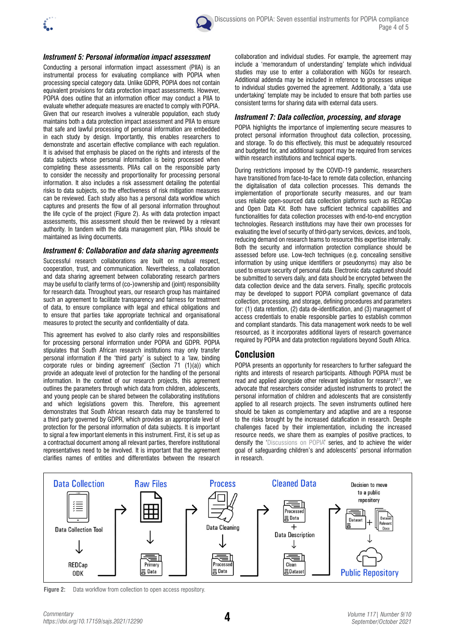

#### *Instrument 5: Personal information impact assessment*

Conducting a personal information impact assessment (PIIA) is an instrumental process for evaluating compliance with POPIA when processing special category data. Unlike GDPR, POPIA does not contain equivalent provisions for data protection impact assessments. However, POPIA does outline that an information officer may conduct a PIIA to evaluate whether adequate measures are enacted to comply with POPIA. Given that our research involves a vulnerable population, each study maintains both a data protection impact assessment and PIIA to ensure that safe and lawful processing of personal information are embedded in each study by design. Importantly, this enables researchers to demonstrate and ascertain effective compliance with each regulation. It is advised that emphasis be placed on the rights and interests of the data subjects whose personal information is being processed when completing these assessments. PIIAs call on the responsible party to consider the necessity and proportionality for processing personal information. It also includes a risk assessment detailing the potential risks to data subjects, so the effectiveness of risk mitigation measures can be reviewed. Each study also has a personal data workflow which captures and presents the flow of all personal information throughout the life cycle of the project (Figure 2). As with data protection impact assessments, this assessment should then be reviewed by a relevant authority. In tandem with the data management plan, PIIAs should be maintained as living documents.

#### *Instrument 6: Collaboration and data sharing agreements*

Successful research collaborations are built on mutual respect, cooperation, trust, and communication. Nevertheless, a collaboration and data sharing agreement between collaborating research partners may be useful to clarify terms of (co-)ownership and (joint) responsibility for research data. Throughout years, our research group has maintained such an agreement to facilitate transparency and fairness for treatment of data, to ensure compliance with legal and ethical obligations and to ensure that parties take appropriate technical and organisational measures to protect the security and confidentiality of data.

This agreement has evolved to also clarify roles and responsibilities for processing personal information under POPIA and GDPR. POPIA stipulates that South African research institutions may only transfer personal information if the 'third party' is subject to a 'law, binding corporate rules or binding agreement' (Section 71 (1)(a)) which provide an adequate level of protection for the handling of the personal information. In the context of our research projects, this agreement outlines the parameters through which data from children, adolescents, and young people can be shared between the collaborating institutions and which legislations govern this. Therefore, this agreement demonstrates that South African research data may be transferred to a third party governed by GDPR, which provides an appropriate level of protection for the personal information of data subjects. It is important to signal a few important elements in this instrument. First, it is set up as a contractual document among all relevant parties, therefore institutional representatives need to be involved. It is important that the agreement clarifies names of entities and differentiates between the research

collaboration and individual studies. For example, the agreement may include a 'memorandum of understanding' template which individual studies may use to enter a collaboration with NGOs for research. Additional addenda may be included in reference to processes unique to individual studies governed the agreement. Additionally, a 'data use undertaking' template may be included to ensure that both parties use consistent terms for sharing data with external data users.

## *Instrument 7: Data collection, processing, and storage*

POPIA highlights the importance of implementing secure measures to protect personal information throughout data collection, processing, and storage. To do this effectively, this must be adequately resourced and budgeted for, and additional support may be required from services within research institutions and technical experts.

During restrictions imposed by the COVID-19 pandemic, researchers have transitioned from face-to-face to remote data collection, enhancing the digitalisation of data collection processes. This demands the implementation of proportionate security measures, and our team uses reliable open-sourced data collection platforms such as REDCap and Open Data Kit. Both have sufficient technical capabilities and functionalities for data collection processes with end-to-end encryption technologies. Research institutions may have their own processes for evaluating the level of security of third-party services, devices, and tools, reducing demand on research teams to resource this expertise internally. Both the security and information protection compliance should be assessed before use. Low-tech techniques (e.g. concealing sensitive information by using unique identifiers or pseudonyms) may also be used to ensure security of personal data. Electronic data captured should be submitted to servers daily, and data should be encrypted between the data collection device and the data servers. Finally, specific protocols may be developed to support POPIA compliant governance of data collection, processing, and storage, defining procedures and parameters for: (1) data retention, (2) data de-identification, and (3) management of access credentials to enable responsible parties to establish common and compliant standards. This data management work needs to be well resourced, as it incorporates additional layers of research governance required by POPIA and data protection regulations beyond South Africa.

# **Conclusion**

POPIA presents an opportunity for researchers to further safeguard the rights and interests of research participants. Although POPIA must be read and applied alongside other relevant legislation for research<sup>11</sup>, we advocate that researchers consider adjusted instruments to protect the personal information of children and adolescents that are consistently applied to all research projects. The seven instruments outlined here should be taken as complementary and adaptive and are a response to the risks brought by the increased datafication in research. Despite challenges faced by their implementation, including the increased resource needs, we share them as examples of positive practices, to densify the '[Discussions on POPIA](https://sajs.co.za/discussions-on-popia)' series, and to achieve the wider goal of safeguarding children's and adolescents' personal information in research.



**Figure 2:** Data workflow from collection to open access repository.